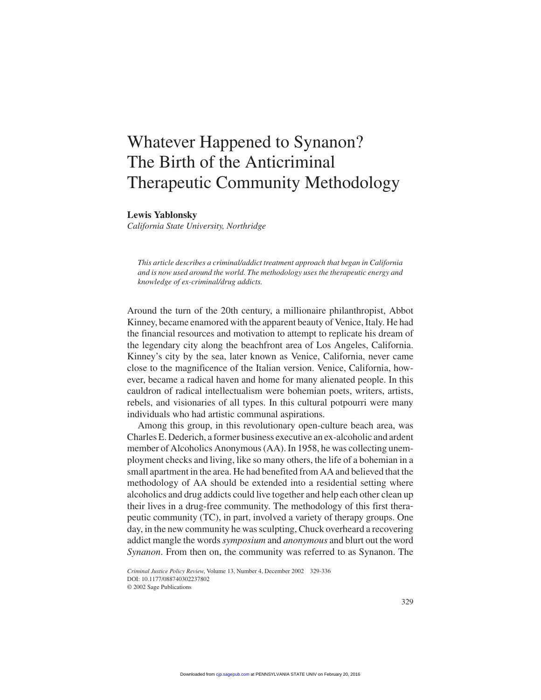## Whatever Happened to Synanon? The Birth of the Anticriminal Therapeutic Community Methodology

## **Lewis Yablonsky**

*California State University, Northridge*

*This article describes a criminal/addict treatment approach that began in California and is now used around the world. The methodology uses the therapeutic energy and knowledge of ex-criminal/drug addicts.*

Around the turn of the 20th century, a millionaire philanthropist, Abbot Kinney, became enamored with the apparent beauty of Venice, Italy. He had the financial resources and motivation to attempt to replicate his dream of the legendary city along the beachfront area of Los Angeles, California. Kinney's city by the sea, later known as Venice, California, never came close to the magnificence of the Italian version. Venice, California, however, became a radical haven and home for many alienated people. In this cauldron of radical intellectualism were bohemian poets, writers, artists, rebels, and visionaries of all types. In this cultural potpourri were many individuals who had artistic communal aspirations.

Among this group, in this revolutionary open-culture beach area, was Charles E. Dederich, a former business executive an ex-alcoholic and ardent member of Alcoholics Anonymous (AA). In 1958, he was collecting unemployment checks and living, like so many others, the life of a bohemian in a small apartment in the area. He had benefited from AA and believed that the methodology of AA should be extended into a residential setting where alcoholics and drug addicts could live together and help each other clean up their lives in a drug-free community. The methodology of this first therapeutic community (TC), in part, involved a variety of therapy groups. One day, in the new community he was sculpting, Chuck overheard a recovering addict mangle the words*symposium* and *anonymous* and blurt out the word *Synanon*. From then on, the community was referred to as Synanon. The

*Criminal Justice Policy Review*, Volume 13, Number 4, December 2002 329-336 DOI: 10.1177/088740302237802

<sup>© 2002</sup> Sage Publications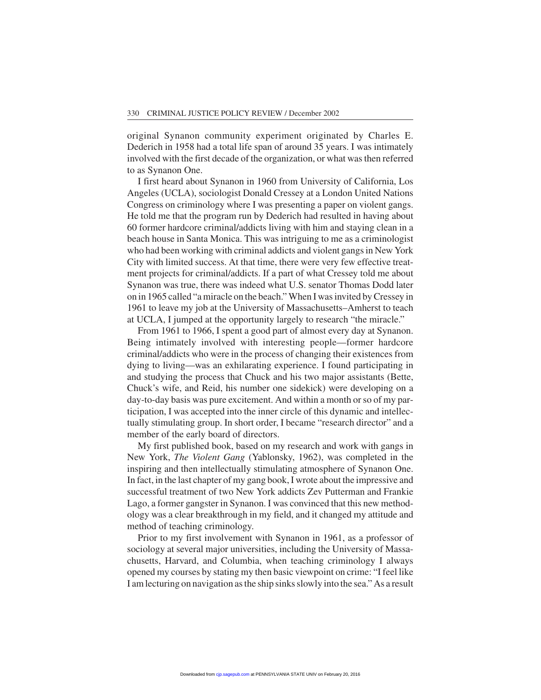original Synanon community experiment originated by Charles E. Dederich in 1958 had a total life span of around 35 years. I was intimately involved with the first decade of the organization, or what was then referred to as Synanon One.

I first heard about Synanon in 1960 from University of California, Los Angeles (UCLA), sociologist Donald Cressey at a London United Nations Congress on criminology where I was presenting a paper on violent gangs. He told me that the program run by Dederich had resulted in having about 60 former hardcore criminal/addicts living with him and staying clean in a beach house in Santa Monica. This was intriguing to me as a criminologist who had been working with criminal addicts and violent gangs in New York City with limited success. At that time, there were very few effective treatment projects for criminal/addicts. If a part of what Cressey told me about Synanon was true, there was indeed what U.S. senator Thomas Dodd later on in 1965 called "a miracle on the beach." When I was invited by Cressey in 1961 to leave my job at the University of Massachusetts–Amherst to teach at UCLA, I jumped at the opportunity largely to research "the miracle."

From 1961 to 1966, I spent a good part of almost every day at Synanon. Being intimately involved with interesting people—former hardcore criminal/addicts who were in the process of changing their existences from dying to living—was an exhilarating experience. I found participating in and studying the process that Chuck and his two major assistants (Bette, Chuck's wife, and Reid, his number one sidekick) were developing on a day-to-day basis was pure excitement. And within a month or so of my participation, I was accepted into the inner circle of this dynamic and intellectually stimulating group. In short order, I became "research director" and a member of the early board of directors.

My first published book, based on my research and work with gangs in New York, *The Violent Gang* (Yablonsky, 1962), was completed in the inspiring and then intellectually stimulating atmosphere of Synanon One. In fact, in the last chapter of my gang book, I wrote about the impressive and successful treatment of two New York addicts Zev Putterman and Frankie Lago, a former gangster in Synanon. I was convinced that this new methodology was a clear breakthrough in my field, and it changed my attitude and method of teaching criminology.

Prior to my first involvement with Synanon in 1961, as a professor of sociology at several major universities, including the University of Massachusetts, Harvard, and Columbia, when teaching criminology I always opened my courses by stating my then basic viewpoint on crime: "I feel like I am lecturing on navigation as the ship sinks slowly into the sea." As a result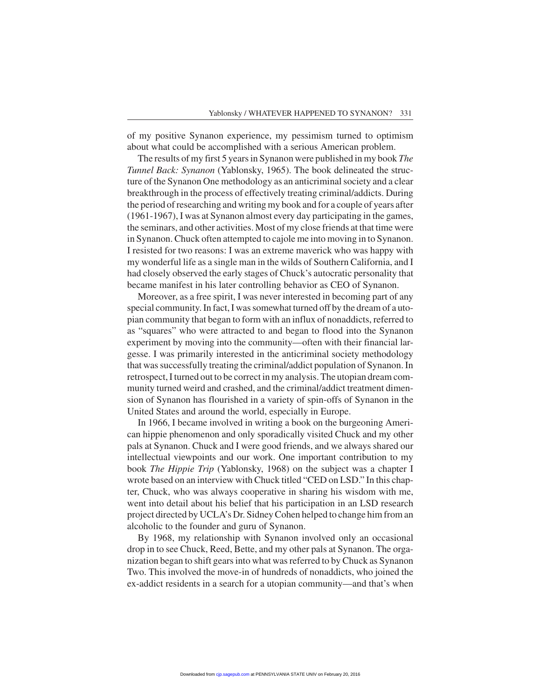of my positive Synanon experience, my pessimism turned to optimism about what could be accomplished with a serious American problem.

The results of my first 5 years in Synanon were published in my book *The Tunnel Back: Synanon* (Yablonsky, 1965). The book delineated the structure of the Synanon One methodology as an anticriminal society and a clear breakthrough in the process of effectively treating criminal/addicts. During the period of researching and writing my book and for a couple of years after (1961-1967), I was at Synanon almost every day participating in the games, the seminars, and other activities. Most of my close friends at that time were in Synanon. Chuck often attempted to cajole me into moving in to Synanon. I resisted for two reasons: I was an extreme maverick who was happy with my wonderful life as a single man in the wilds of Southern California, and I had closely observed the early stages of Chuck's autocratic personality that became manifest in his later controlling behavior as CEO of Synanon.

Moreover, as a free spirit, I was never interested in becoming part of any special community. In fact, I was somewhat turned off by the dream of a utopian community that began to form with an influx of nonaddicts, referred to as "squares" who were attracted to and began to flood into the Synanon experiment by moving into the community—often with their financial largesse. I was primarily interested in the anticriminal society methodology that was successfully treating the criminal/addict population of Synanon. In retrospect, I turned out to be correct in my analysis. The utopian dream community turned weird and crashed, and the criminal/addict treatment dimension of Synanon has flourished in a variety of spin-offs of Synanon in the United States and around the world, especially in Europe.

In 1966, I became involved in writing a book on the burgeoning American hippie phenomenon and only sporadically visited Chuck and my other pals at Synanon. Chuck and I were good friends, and we always shared our intellectual viewpoints and our work. One important contribution to my book *The Hippie Trip* (Yablonsky, 1968) on the subject was a chapter I wrote based on an interview with Chuck titled "CED on LSD." In this chapter, Chuck, who was always cooperative in sharing his wisdom with me, went into detail about his belief that his participation in an LSD research project directed by UCLA's Dr. Sidney Cohen helped to change him from an alcoholic to the founder and guru of Synanon.

By 1968, my relationship with Synanon involved only an occasional drop in to see Chuck, Reed, Bette, and my other pals at Synanon. The organization began to shift gears into what was referred to by Chuck as Synanon Two. This involved the move-in of hundreds of nonaddicts, who joined the ex-addict residents in a search for a utopian community—and that's when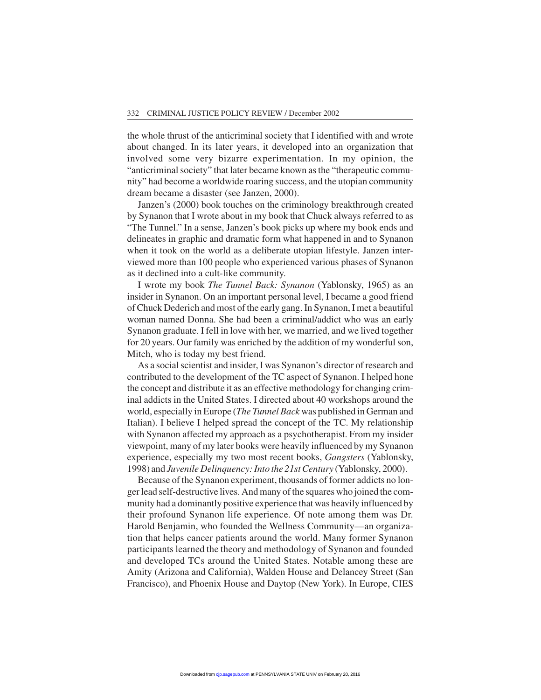the whole thrust of the anticriminal society that I identified with and wrote about changed. In its later years, it developed into an organization that involved some very bizarre experimentation. In my opinion, the "anticriminal society" that later became known as the "therapeutic community" had become a worldwide roaring success, and the utopian community dream became a disaster (see Janzen, 2000).

Janzen's (2000) book touches on the criminology breakthrough created by Synanon that I wrote about in my book that Chuck always referred to as "The Tunnel." In a sense, Janzen's book picks up where my book ends and delineates in graphic and dramatic form what happened in and to Synanon when it took on the world as a deliberate utopian lifestyle. Janzen interviewed more than 100 people who experienced various phases of Synanon as it declined into a cult-like community.

I wrote my book *The Tunnel Back: Synanon* (Yablonsky, 1965) as an insider in Synanon. On an important personal level, I became a good friend of Chuck Dederich and most of the early gang. In Synanon, I met a beautiful woman named Donna. She had been a criminal/addict who was an early Synanon graduate. I fell in love with her, we married, and we lived together for 20 years. Our family was enriched by the addition of my wonderful son, Mitch, who is today my best friend.

As a social scientist and insider, I was Synanon's director of research and contributed to the development of the TC aspect of Synanon. I helped hone the concept and distribute it as an effective methodology for changing criminal addicts in the United States. I directed about 40 workshops around the world, especially in Europe (*The Tunnel Back* was published in German and Italian). I believe I helped spread the concept of the TC. My relationship with Synanon affected my approach as a psychotherapist. From my insider viewpoint, many of my later books were heavily influenced by my Synanon experience, especially my two most recent books, *Gangsters* (Yablonsky, 1998) and *Juvenile Delinquency: Into the 21st Century* (Yablonsky, 2000).

Because of the Synanon experiment, thousands of former addicts no longer lead self-destructive lives. And many of the squares who joined the community had a dominantly positive experience that was heavily influenced by their profound Synanon life experience. Of note among them was Dr. Harold Benjamin, who founded the Wellness Community—an organization that helps cancer patients around the world. Many former Synanon participants learned the theory and methodology of Synanon and founded and developed TCs around the United States. Notable among these are Amity (Arizona and California), Walden House and Delancey Street (San Francisco), and Phoenix House and Daytop (New York). In Europe, CIES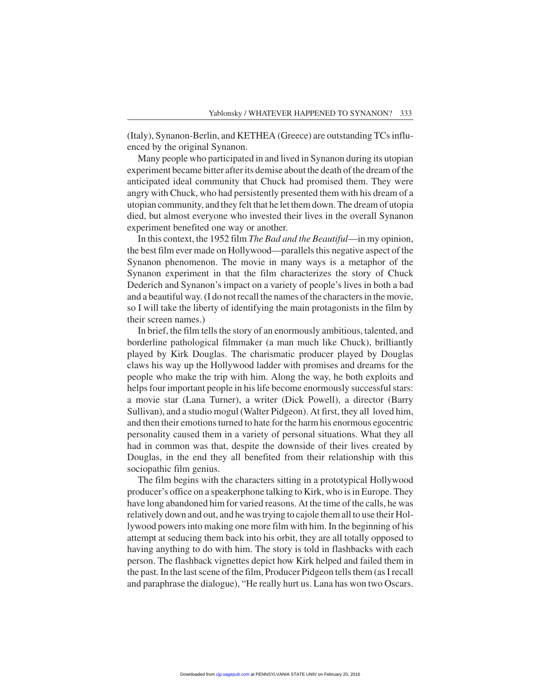(Italy), Synanon-Berlin, and KETHEA (Greece) are outstanding TCs influenced by the original Synanon.

Many people who participated in and lived in Synanon during its utopian experiment became bitter after its demise about the death of the dream of the anticipated ideal community that Chuck had promised them. They were angry with Chuck, who had persistently presented them with his dream of a utopian community, and they felt that he let them down. The dream of utopia died, but almost everyone who invested their lives in the overall Synanon experiment benefited one way or another.

In this context, the 1952 film *The Bad and the Beautiful*—in my opinion, the best film ever made on Hollywood—parallels this negative aspect of the Synanon phenomenon. The movie in many ways is a metaphor of the Synanon experiment in that the film characterizes the story of Chuck Dederich and Synanon's impact on a variety of people's lives in both a bad and a beautiful way. (I do not recall the names of the characters in the movie, so I will take the liberty of identifying the main protagonists in the film by their screen names.)

In brief, the film tells the story of an enormously ambitious, talented, and borderline pathological filmmaker (a man much like Chuck), brilliantly played by Kirk Douglas. The charismatic producer played by Douglas claws his way up the Hollywood ladder with promises and dreams for the people who make the trip with him. Along the way, he both exploits and helps four important people in his life become enormously successful stars: a movie star (Lana Turner), a writer (Dick Powell), a director (Barry Sullivan), and a studio mogul (Walter Pidgeon). At first, they all loved him, and then their emotions turned to hate for the harm his enormous egocentric personality caused them in a variety of personal situations. What they all had in common was that, despite the downside of their lives created by Douglas, in the end they all benefited from their relationship with this sociopathic film genius.

The film begins with the characters sitting in a prototypical Hollywood producer's office on a speakerphone talking to Kirk, who is in Europe. They have long abandoned him for varied reasons. At the time of the calls, he was relatively down and out, and he was trying to cajole them all to use their Hollywood powers into making one more film with him. In the beginning of his attempt at seducing them back into his orbit, they are all totally opposed to having anything to do with him. The story is told in flashbacks with each person. The flashback vignettes depict how Kirk helped and failed them in the past. In the last scene of the film, Producer Pidgeon tells them (as I recall and paraphrase the dialogue), "He really hurt us. Lana has won two Oscars.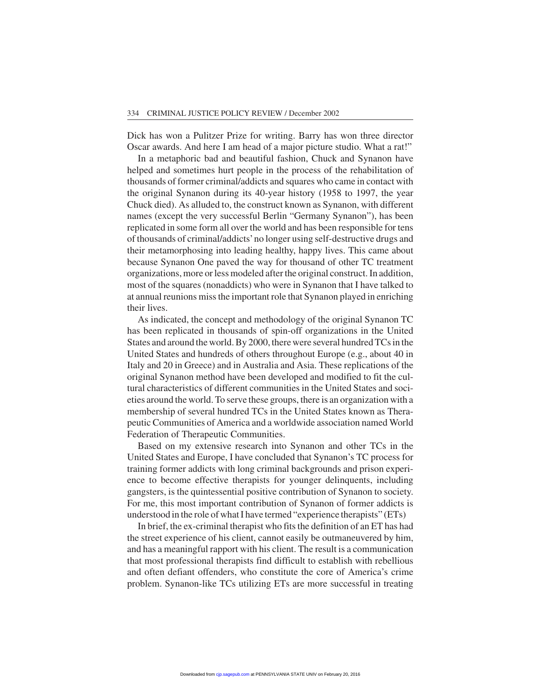Dick has won a Pulitzer Prize for writing. Barry has won three director Oscar awards. And here I am head of a major picture studio. What a rat!"

In a metaphoric bad and beautiful fashion, Chuck and Synanon have helped and sometimes hurt people in the process of the rehabilitation of thousands of former criminal/addicts and squares who came in contact with the original Synanon during its 40-year history (1958 to 1997, the year Chuck died). As alluded to, the construct known as Synanon, with different names (except the very successful Berlin "Germany Synanon"), has been replicated in some form all over the world and has been responsible for tens of thousands of criminal/addicts'no longer using self-destructive drugs and their metamorphosing into leading healthy, happy lives. This came about because Synanon One paved the way for thousand of other TC treatment organizations, more or less modeled after the original construct. In addition, most of the squares (nonaddicts) who were in Synanon that I have talked to at annual reunions miss the important role that Synanon played in enriching their lives.

As indicated, the concept and methodology of the original Synanon TC has been replicated in thousands of spin-off organizations in the United States and around the world. By 2000, there were several hundred TCs in the United States and hundreds of others throughout Europe (e.g., about 40 in Italy and 20 in Greece) and in Australia and Asia. These replications of the original Synanon method have been developed and modified to fit the cultural characteristics of different communities in the United States and societies around the world. To serve these groups, there is an organization with a membership of several hundred TCs in the United States known as Therapeutic Communities of America and a worldwide association named World Federation of Therapeutic Communities.

Based on my extensive research into Synanon and other TCs in the United States and Europe, I have concluded that Synanon's TC process for training former addicts with long criminal backgrounds and prison experience to become effective therapists for younger delinquents, including gangsters, is the quintessential positive contribution of Synanon to society. For me, this most important contribution of Synanon of former addicts is understood in the role of what I have termed "experience therapists" (ETs)

In brief, the ex-criminal therapist who fits the definition of an ET has had the street experience of his client, cannot easily be outmaneuvered by him, and has a meaningful rapport with his client. The result is a communication that most professional therapists find difficult to establish with rebellious and often defiant offenders, who constitute the core of America's crime problem. Synanon-like TCs utilizing ETs are more successful in treating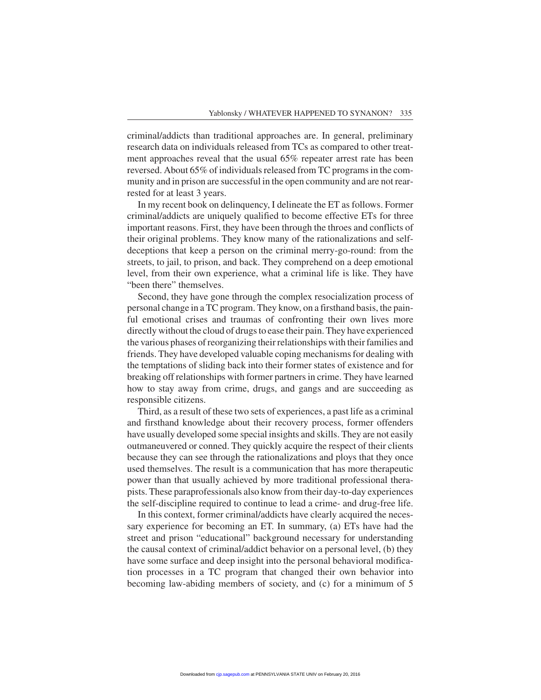criminal/addicts than traditional approaches are. In general, preliminary research data on individuals released from TCs as compared to other treatment approaches reveal that the usual 65% repeater arrest rate has been reversed. About 65% of individuals released from TC programs in the community and in prison are successful in the open community and are not rearrested for at least 3 years.

In my recent book on delinquency, I delineate the ET as follows. Former criminal/addicts are uniquely qualified to become effective ETs for three important reasons. First, they have been through the throes and conflicts of their original problems. They know many of the rationalizations and selfdeceptions that keep a person on the criminal merry-go-round: from the streets, to jail, to prison, and back. They comprehend on a deep emotional level, from their own experience, what a criminal life is like. They have "been there" themselves.

Second, they have gone through the complex resocialization process of personal change in a TC program. They know, on a firsthand basis, the painful emotional crises and traumas of confronting their own lives more directly without the cloud of drugs to ease their pain. They have experienced the various phases of reorganizing their relationships with their families and friends. They have developed valuable coping mechanisms for dealing with the temptations of sliding back into their former states of existence and for breaking off relationships with former partners in crime. They have learned how to stay away from crime, drugs, and gangs and are succeeding as responsible citizens.

Third, as a result of these two sets of experiences, a past life as a criminal and firsthand knowledge about their recovery process, former offenders have usually developed some special insights and skills. They are not easily outmaneuvered or conned. They quickly acquire the respect of their clients because they can see through the rationalizations and ploys that they once used themselves. The result is a communication that has more therapeutic power than that usually achieved by more traditional professional therapists. These paraprofessionals also know from their day-to-day experiences the self-discipline required to continue to lead a crime- and drug-free life.

In this context, former criminal/addicts have clearly acquired the necessary experience for becoming an ET. In summary, (a) ETs have had the street and prison "educational" background necessary for understanding the causal context of criminal/addict behavior on a personal level, (b) they have some surface and deep insight into the personal behavioral modification processes in a TC program that changed their own behavior into becoming law-abiding members of society, and (c) for a minimum of 5